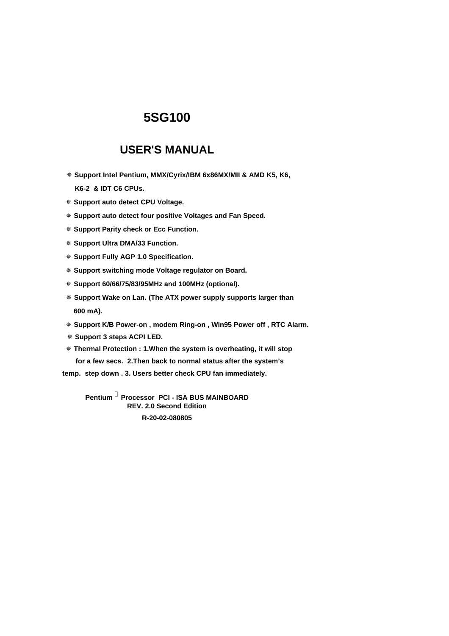# **USER'S MANUAL**

- Ø **Support Intel Pentium, MMX/Cyrix/IBM 6x86MX/MII & AMD K5, K6, K6-2 & IDT C6 CPUs.**
- Ø **Support auto detect CPU Voltage.**
- Ø **Support auto detect four positive Voltages and Fan Speed.**
- Ø **Support Parity check or Ecc Function.**
- Ø **Support Ultra DMA/33 Function.**
- Ø **Support Fully AGP 1.0 Specification.**
- Ø **Support switching mode Voltage regulator on Board.**
- Ø **Support 60/66/75/83/95MHz and 100MHz (optional).**
- Ø **Support Wake on Lan. (The ATX power supply supports larger than 600 mA).**
- Ø **Support K/B Power-on , modem Ring-on , Win95 Power off , RTC Alarm.**
- Ø **Support 3 steps ACPI LED.**
- Ø **Thermal Protection : 1.When the system is overheating, it will stop**

 **for a few secs. 2.Then back to normal status after the system's** 

 **temp. step down . 3. Users better check CPU fan immediately.**

**R-20-02-080805 Pentium <sup>â</sup> Processor PCI - ISA BUS MAINBOARD REV. 2.0 Second Edition**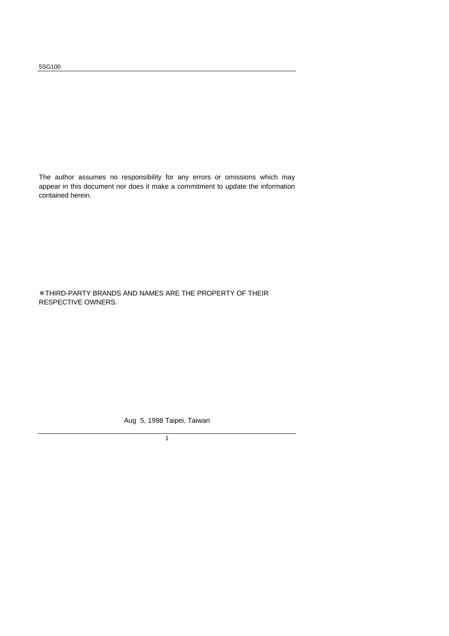The author assumes no responsibility for any errors or omissions which may appear in this document nor does it make a commitment to update the information contained herein.

ØTHIRD-PARTY BRANDS AND NAMES ARE THE PROPERTY OF THEIR RESPECTIVE OWNERS.

Aug 5, 1998 Taipei, Taiwan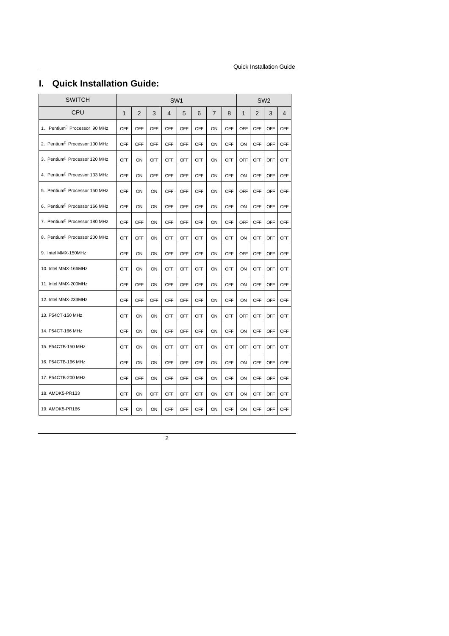# **I. Quick Installation Guide:**

| <b>SWITCH</b>                             |            |            |            | SW <sub>1</sub> |            |            |                |            |              |                | SW <sub>2</sub> |                |
|-------------------------------------------|------------|------------|------------|-----------------|------------|------------|----------------|------------|--------------|----------------|-----------------|----------------|
| CPU                                       | 1          | 2          | 3          | $\overline{4}$  | 5          | 6          | $\overline{7}$ | 8          | $\mathbf{1}$ | $\overline{2}$ | 3               | $\overline{4}$ |
| 1. Pentium <sup>a</sup> Processor 90 MHz  | OFF        | <b>OFF</b> | <b>OFF</b> | <b>OFF</b>      | OFF        | OFF        | ON             | <b>OFF</b> | <b>OFF</b>   | <b>OFF</b>     | <b>OFF</b>      | <b>OFF</b>     |
| 2. Pentium <sup>a</sup> Processor 100 MHz | OFF        | OFF        | OFF        | <b>OFF</b>      | OFF        | OFF        | ON             | <b>OFF</b> | ON           | OFF            | <b>OFF</b>      | <b>OFF</b>     |
| 3. Pentium <sup>a</sup> Processor 120 MHz | OFF        | ON         | OFF        | OFF             | OFF        | OFF        | ON             | <b>OFF</b> | OFF          | OFF            | OFF             | OFF            |
| 4. Pentium <sup>a</sup> Processor 133 MHz | OFF        | ON         | <b>OFF</b> | OFF             | OFF        | OFF        | ON             | <b>OFF</b> | ON           | OFF            | OFF             | OFF            |
| 5. Pentium <sup>a</sup> Processor 150 MHz | OFF        | ON         | ON         | OFF             | OFF        | OFF        | ON             | OFF        | <b>OFF</b>   | <b>OFF</b>     | OFF             | OFF            |
| 6. Pentium <sup>a</sup> Processor 166 MHz | OFF        | ON         | ON         | OFF             | OFF        | OFF        | ON             | <b>OFF</b> | ON           | OFF            | OFF             | OFF            |
| 7. Pentium <sup>a</sup> Processor 180 MHz | OFF        | OFF        | ON         | OFF             | OFF        | OFF        | ON             | <b>OFF</b> | OFF          | OFF            | OFF             | OFF            |
| 8. Pentium <sup>a</sup> Processor 200 MHz | OFF        | OFF        | ON         | OFF             | OFF        | <b>OFF</b> | ON             | <b>OFF</b> | ON           | OFF            | OFF             | OFF            |
| 9. Intel MMX-150MHz                       | OFF        | ON         | ON         | OFF             | OFF        | OFF        | ON             | <b>OFF</b> | OFF          | OFF            | OFF             | OFF            |
| 10. Intel MMX-166MHz                      | OFF        | ON         | ON         | OFF             | OFF        | OFF        | ON             | OFF        | ON           | OFF            | OFF             | OFF            |
| 11. Intel MMX-200MHz                      | OFF        | <b>OFF</b> | ON         | OFF             | <b>OFF</b> | <b>OFF</b> | ON             | <b>OFF</b> | ON           | <b>OFF</b>     | <b>OFF</b>      | OFF            |
| 12. Intel MMX-233MHz                      | OFF        | OFF        | <b>OFF</b> | OFF             | OFF        | OFF        | ON             | <b>OFF</b> | ON           | OFF            | OFF             | OFF            |
| 13. P54CT-150 MHz                         | OFF        | ON         | ON         | OFF             | <b>OFF</b> | OFF        | ON             | <b>OFF</b> | OFF          | OFF            | OFF             | OFF            |
| 14. P54CT-166 MHz                         | OFF        | ON         | ON         | OFF             | OFF        | OFF        | ON             | <b>OFF</b> | ON           | OFF            | OFF             | OFF            |
| 15. P54CTB-150 MHz                        | OFF        | ON         | ON         | OFF             | OFF        | OFF        | ON             | <b>OFF</b> | OFF          | OFF            | OFF             | OFF            |
| 16. P54CTB-166 MHz                        | OFF        | ON         | ON         | OFF             | OFF        | OFF        | ON             | <b>OFF</b> | ON           | OFF            | <b>OFF</b>      | OFF            |
| 17. P54CTB-200 MHz                        | OFF        | OFF        | ON         | <b>OFF</b>      | <b>OFF</b> | OFF        | ON             | <b>OFF</b> | ON           | <b>OFF</b>     | <b>OFF</b>      | <b>OFF</b>     |
| 18. AMDK5-PR133                           | <b>OFF</b> | ON         | <b>OFF</b> | OFF             | OFF        | OFF        | ON             | <b>OFF</b> | ON           | OFF            | OFF             | OFF            |
| 19. AMDK5-PR166                           | OFF        | ON         | ON         | OFF             | OFF        | OFF        | ON             | <b>OFF</b> | ON           | OFF            | OFF             | OFF            |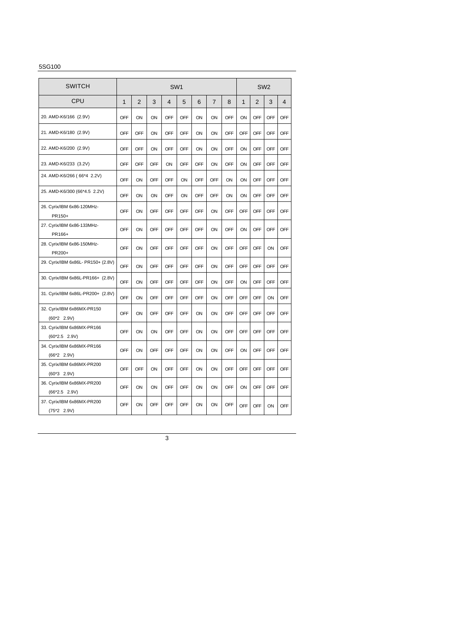| <b>SWITCH</b>                                 |            |                |            | SW <sub>1</sub> |            |     |                |            |              |                | SW <sub>2</sub> |                |
|-----------------------------------------------|------------|----------------|------------|-----------------|------------|-----|----------------|------------|--------------|----------------|-----------------|----------------|
| <b>CPU</b>                                    | 1          | $\overline{2}$ | 3          | $\overline{4}$  | 5          | 6   | $\overline{7}$ | 8          | $\mathbf{1}$ | $\overline{2}$ | 3               | $\overline{4}$ |
| 20. AMD-K6/166 (2.9V)                         | OFF        | ON             | ON         | OFF             | OFF        | ON  | ON             | <b>OFF</b> | ON           | OFF            | OFF             | <b>OFF</b>     |
| 21. AMD-K6/180 (2.9V)                         | <b>OFF</b> | <b>OFF</b>     | ON         | <b>OFF</b>      | <b>OFF</b> | ON  | ON             | <b>OFF</b> | OFF          | OFF            | OFF             | OFF            |
| 22. AMD-K6/200 (2.9V)                         | OFF        | OFF            | ON         | OFF             | OFF        | ON  | ON             | <b>OFF</b> | ON           | OFF            | OFF             | OFF            |
| 23. AMD-K6/233 (3.2V)                         | OFF        | OFF            | <b>OFF</b> | ON              | OFF        | OFF | ON             | OFF        | ON           | OFF            | OFF             | <b>OFF</b>     |
| 24. AMD-K6/266 (66*4 2.2V)                    | OFF        | ON             | <b>OFF</b> | OFF             | ON         | OFF | <b>OFF</b>     | ON         | ON           | OFF            | OFF             | OFF            |
| 25. AMD-K6/300 (66*4.5 2.2V)                  | OFF        | ON             | ON         | OFF             | ON         | OFF | <b>OFF</b>     | ON         | ON           | OFF            | OFF             | OFF            |
| 26. Cyrix/IBM 6x86-120MHz-<br>PR150+          | OFF        | ON             | <b>OFF</b> | OFF             | OFF        | OFF | ON             | OFF        | OFF          | OFF            | OFF             | OFF            |
| 27. Cyrix/IBM 6x86-133MHz-<br>PR166+          | OFF        | ON             | <b>OFF</b> | OFF             | OFF        | OFF | ON             | <b>OFF</b> | ON           | OFF            | <b>OFF</b>      | <b>OFF</b>     |
| 28. Cyrix/IBM 6x86-150MHz-<br>PR200+          | OFF        | ON             | <b>OFF</b> | <b>OFF</b>      | OFF        | OFF | ON             | <b>OFF</b> | OFF          | OFF            | ON              | OFF            |
| 29. Cyrix/IBM 6x86L- PR150+ (2.8V)            | OFF        | ON             | OFF        | OFF             | <b>OFF</b> | OFF | ON             | <b>OFF</b> | OFF          | OFF            | OFF             | OFF            |
| 30. Cyrix/IBM 6x86L-PR166+ (2.8V)             | OFF        | ON             | <b>OFF</b> | OFF             | OFF        | OFF | ON             | <b>OFF</b> | ON           | OFF            | OFF             | <b>OFF</b>     |
| 31. Cyrix/IBM 6x86L-PR200+ (2.8V)             | OFF        | ON             | <b>OFF</b> | OFF             | OFF        | OFF | ON             | <b>OFF</b> | OFF          | OFF            | ON              | OFF            |
| 32. Cyrix/IBM 6x86MX-PR150<br>$(60*2 2.9V)$   | <b>OFF</b> | ON             | <b>OFF</b> | OFF             | OFF        | ON  | ON             | <b>OFF</b> | OFF          | OFF            | OFF             | OFF            |
| 33. Cyrix/IBM 6x86MX-PR166<br>$(60*2.5 2.9V)$ | OFF        | ON             | ON         | OFF             | OFF        | ON  | ON             | <b>OFF</b> | OFF          | OFF            | OFF             | OFF            |
| 34. Cyrix/IBM 6x86MX-PR166<br>$(66*2 2.9V)$   | OFF        | ON             | <b>OFF</b> | OFF             | OFF        | ON  | ON             | <b>OFF</b> | ON           | OFF            | OFF             | OFF            |
| 35. Cyrix/IBM 6x86MX-PR200<br>$(60*3 2.9V)$   | OFF        | OFF            | ON         | OFF             | OFF        | ON  | ON             | <b>OFF</b> | <b>OFF</b>   | <b>OFF</b>     | <b>OFF</b>      | OFF            |
| 36. Cyrix/IBM 6x86MX-PR200<br>$(66*2.5 2.9V)$ | OFF        | ON             | ON         | OFF             | OFF        | ON  | ON             | <b>OFF</b> | ON           | OFF            | OFF             | OFF            |
| 37. Cyrix/IBM 6x86MX-PR200<br>$(75*2 2.9V)$   | OFF        | ON             | OFF        | OFF             | OFF        | ON  | ON             | <b>OFF</b> | OFF          | OFF            | ON              | OFF            |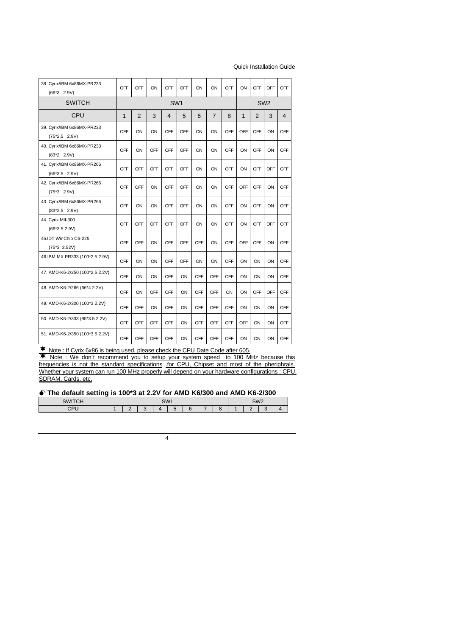Quick Installation Guide

| 38. Cyrix/IBM 6x86MX-PR233<br>$(66*3 2.9V)$   | OFF          | OFF            | ON         | OFF             | OFF        | ON         | ON             | OFF        | ON         | OFF        | OFF             | OFF            |
|-----------------------------------------------|--------------|----------------|------------|-----------------|------------|------------|----------------|------------|------------|------------|-----------------|----------------|
| <b>SWITCH</b>                                 |              |                |            | SW <sub>1</sub> |            |            |                |            |            |            | SW <sub>2</sub> |                |
| <b>CPU</b>                                    | $\mathbf{1}$ | $\overline{2}$ | 3          | 4               | 5          | 6          | $\overline{7}$ | 8          | 1          | 2          | 3               | $\overline{4}$ |
| 39. Cyrix/IBM 6x86MX-PR233<br>$(75*2.5 2.9V)$ | OFF          | ON             | ON         | OFF             | OFF        | ON         | ON             | <b>OFF</b> | OFF        | OFF        | ON              | OFF            |
| 40. Cyrix/IBM 6x86MX-PR233<br>$(83*2 2.9V)$   | OFF          | ON             | <b>OFF</b> | OFF             | <b>OFF</b> | ON         | ON             | OFF        | ON         | <b>OFF</b> | ON              | OFF            |
| 41. Cyrix/IBM 6x86MX-PR266<br>$(66*3.5 2.9V)$ | OFF          | OFF            | <b>OFF</b> | <b>OFF</b>      | <b>OFF</b> | ON         | ON             | <b>OFF</b> | ON         | <b>OFF</b> | <b>OFF</b>      | OFF            |
| 42. Cyrix/IBM 6x86MX-PR266<br>$(75*3 2.9V)$   | OFF          | OFF            | ON         | OFF             | OFF        | ON         | ON             | OFF        | OFF        | OFF        | ON              | OFF            |
| 43. Cyrix/IBM 6x86MX-PR266<br>$(83*2.5 2.9V)$ | OFF          | ON             | ON         | <b>OFF</b>      | <b>OFF</b> | ON         | ON             | <b>OFF</b> | ON         | <b>OFF</b> | ON              | OFF            |
| 44. Cyrix MII-300<br>$(66*3.5 2.9V)$          | OFF          | <b>OFF</b>     | <b>OFF</b> | <b>OFF</b>      | OFF        | ON         | ON             | OFF        | ON         | OFF        | OFF             | OFF            |
| 45.IDT WinChip C6-225<br>(75*3 3.52V)         | OFF          | OFF            | ON         | <b>OFF</b>      | OFF        | OFF        | ON             | <b>OFF</b> | <b>OFF</b> | <b>OFF</b> | ON              | OFF            |
| 46. IBM MX PR333 (100*2.5 2.9V)               | OFF          | ON             | ON         | <b>OFF</b>      | OFF        | ON         | ON             | OFF        | ON         | ON         | ON              | OFF            |
| 47. AMD-K6-2/250 (100*2.5 2.2V)               | <b>OFF</b>   | ON             | ON         | OFF             | ON         | <b>OFF</b> | OFF            | OFF        | ON         | ON         | ON              | OFF            |
| 48. AMD-K6-2/266 (66*4 2.2V)                  | <b>OFF</b>   | ON             | OFF        | <b>OFF</b>      | ON         | <b>OFF</b> | OFF            | ON         | ON         | OFF        | <b>OFF</b>      | OFF            |
| 49. AMD-K6-2/300 (100*3 2.2V)                 | OFF          | OFF            | ON         | OFF             | ON         | OFF        | <b>OFF</b>     | OFF        | ON         | ON         | ON              | OFF            |
| 50. AMD-K6-2/333 (95*3.5 2.2V)                | OFF          | OFF            | <b>OFF</b> | <b>OFF</b>      | ON         | OFF        | OFF            | <b>OFF</b> | OFF        | ON         | ON              | OFF            |
| 51. AMD-K6-2/350 (100*3.5 2.2V)               | OFF          | OFF            | <b>OFF</b> | <b>OFF</b>      | ON         | OFF        | OFF            | OFF        | ON         | ON         | ON              | OFF            |
|                                               |              |                |            |                 |            |            |                |            |            |            |                 |                |

¨ Note : If Cyrix 6x86 is being used, please check the CPU Date Code after 605.

<del>■ Note : We don't recommend</del> you to setup your system speed to 100 MHz because this frequencies is not the standard specifications for CPU, Chipset and most of the pheriphrals. Whether your system can run 100 MHz properly will depend on your hardware configurations : CPU, SDRAM, Cards, etc.

#### $\bullet$ <sup>\*</sup>The default setting is 100\*3 at 2.2V for AMD K6/300 and AMD K6-2/300

| SWITCH<br>Vn. |  | SW <sub>1</sub> |   |     |                | SW <sub>2</sub> |  |
|---------------|--|-----------------|---|-----|----------------|-----------------|--|
| CPU           |  |                 | - | $-$ | $\blacksquare$ |                 |  |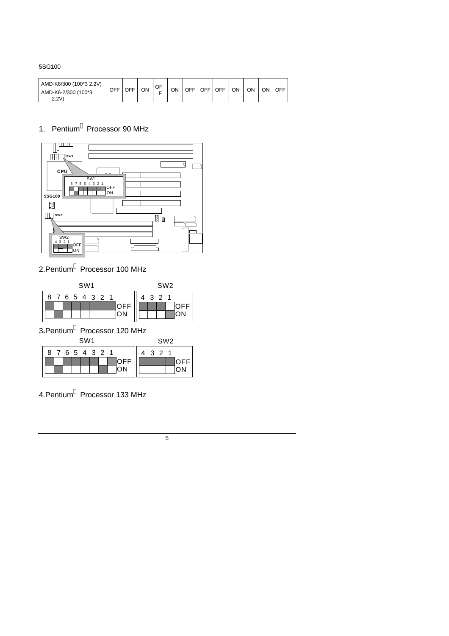| AMD-K6/300 (100*3 2.2V) |     |     |    | OF |    |            | OFF |     |    |    |    |     |
|-------------------------|-----|-----|----|----|----|------------|-----|-----|----|----|----|-----|
| AMD-K6-2/300 (100*3     | OFF | OFF | OΝ | -  | ΟN | <b>OFF</b> |     | OFF | ON | ON | ∩N | OFF |
| 2.2V                    |     |     |    |    |    |            |     |     |    |    |    |     |

## 1. Pentium**<sup>â</sup>** Processor 90 MHz



2.Pentium**<sup>â</sup>** Processor 100 MHz

|   |     |   | SW <sub>1</sub> |                 |           |  | SW <sub>2</sub> |     |
|---|-----|---|-----------------|-----------------|-----------|--|-----------------|-----|
|   |     |   |                 | 8 7 6 5 4 3 2 1 |           |  | 321             |     |
|   |     |   |                 |                 | OFF<br>ON |  |                 | OFF |
|   |     |   |                 |                 |           |  |                 | ŌN  |
| - | . . | а |                 |                 | .         |  |                 |     |

3**.**Pentium**<sup>â</sup>** Processor 120 MHz  $\sim$ 

|                 |  | SW <sub>1</sub> |  |           |  | SW <sub>2</sub> |     |
|-----------------|--|-----------------|--|-----------|--|-----------------|-----|
| 8 7 6 5 4 3 2 1 |  |                 |  | OFF<br>ON |  | 3 2 1           | OFF |

4.Pentium**<sup>â</sup>** Processor 133 MHz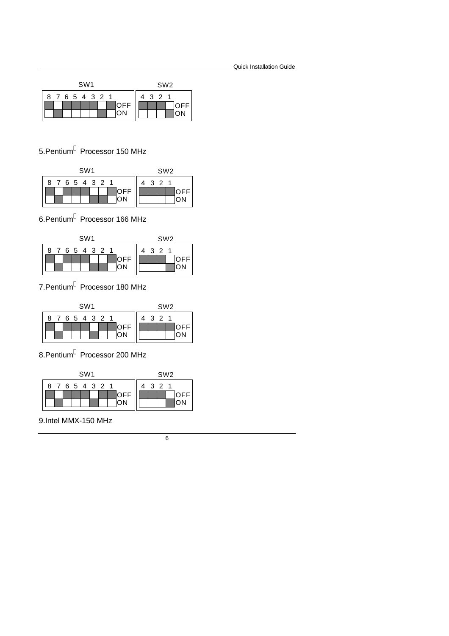|                 |  | SW <sub>1</sub> |  |                    |     | SW <sub>2</sub> |    |
|-----------------|--|-----------------|--|--------------------|-----|-----------------|----|
| 8 7 6 5 4 3 2 1 |  |                 |  |                    | 321 |                 |    |
|                 |  |                 |  | <b>JOFF</b><br>JON |     |                 |    |
|                 |  |                 |  |                    |     |                 | ΩN |

## 5.Pentium**<sup>â</sup>** Processor 150 MHz

|  |  | SW <sub>1</sub> |  |           |     | SW <sub>2</sub> |      |
|--|--|-----------------|--|-----------|-----|-----------------|------|
|  |  | 8 7 6 5 4 3 2 1 |  |           | 321 |                 |      |
|  |  |                 |  | OFF<br>ON |     |                 | ≀OFF |
|  |  |                 |  |           |     |                 |      |

6.Pentium**<sup>â</sup>** Processor 166 MHz



7.Pentium**<sup>â</sup>** Processor 180 MHz



8.Pentium**<sup>â</sup>** Processor 200 MHz



9.Intel MMX-150 MHz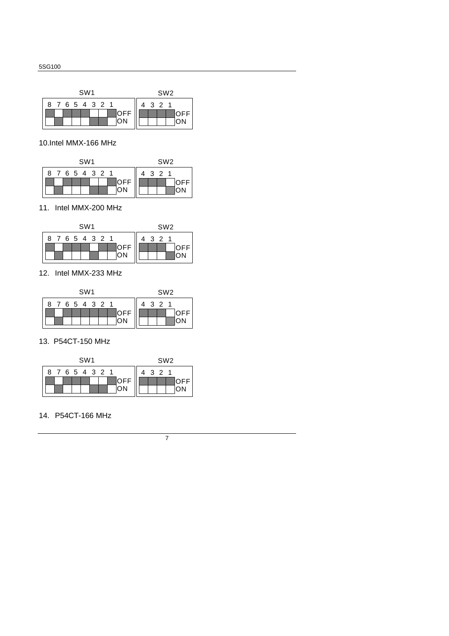

10.Intel MMX-166 MHz

|  |  | SW <sub>1</sub> |  |                   |  | SW <sub>2</sub> |     |
|--|--|-----------------|--|-------------------|--|-----------------|-----|
|  |  | 8 7 6 5 4 3 2 1 |  |                   |  | 321             |     |
|  |  |                 |  | <b>AOFF</b><br>ON |  |                 | OFF |

11. Intel MMX-200 MHz



12. Intel MMX-233 MHz

|  |  | SW <sub>1</sub> |          |           |  | SW <sub>2</sub> |     |
|--|--|-----------------|----------|-----------|--|-----------------|-----|
|  |  |                 | 87654321 |           |  | 3 2 1           |     |
|  |  |                 |          | OFF<br>ON |  |                 | וחר |
|  |  |                 |          |           |  |                 |     |

13. P54CT-150 MHz



14. P54CT-166 MHz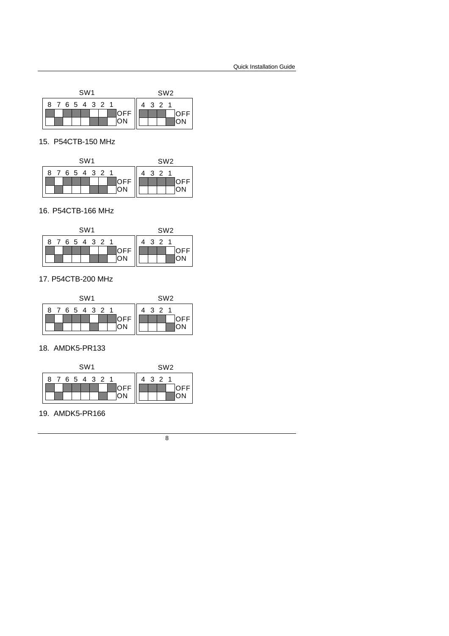

15. P54CTB-150 MHz

|  |  | SW <sub>1</sub> |  |                  |  | SW <sub>2</sub> |     |
|--|--|-----------------|--|------------------|--|-----------------|-----|
|  |  | 8 7 6 5 4 3 2 1 |  |                  |  | 321             |     |
|  |  |                 |  | <b>OFF</b><br>ON |  |                 | OFI |

16. P54CTB-166 MHz



17. P54CTB-200 MHz

| SW <sub>1</sub> |           |       | SW <sub>2</sub> |
|-----------------|-----------|-------|-----------------|
| 8 7 6 5 4 3 2 1 | OFF<br>ON | 3 2 1 | OFF<br>.ON      |

18. AMDK5-PR133



19. AMDK5-PR166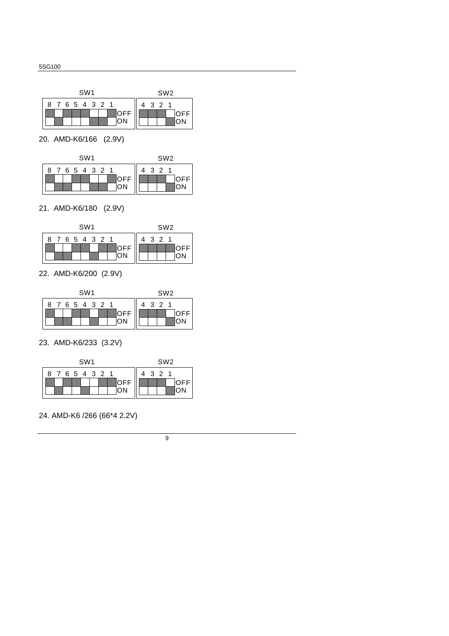

20. AMD-K6/166 (2.9V)

|  |  | SW <sub>1</sub> |  |            |  | SW <sub>2</sub> |  |
|--|--|-----------------|--|------------|--|-----------------|--|
|  |  | 8 7 6 5 4 3 2 1 |  |            |  | 3 2 1           |  |
|  |  |                 |  | OFF<br>ION |  |                 |  |
|  |  |                 |  |            |  |                 |  |

21. AMD-K6/180 (2.9V)



22. AMD-K6/200 (2.9V)

|  |  | SW <sub>1</sub> |                 |                    |     | SW <sub>2</sub> |    |
|--|--|-----------------|-----------------|--------------------|-----|-----------------|----|
|  |  |                 | 8 7 6 5 4 3 2 1 |                    | 321 |                 |    |
|  |  |                 |                 | <b>JOFF</b><br>ION |     |                 |    |
|  |  |                 |                 |                    |     |                 | ΟN |

23. AMD-K6/233 (3.2V)

|  |  | SW <sub>1</sub> |                 |           |  | SW <sub>2</sub> |  |
|--|--|-----------------|-----------------|-----------|--|-----------------|--|
|  |  |                 | 8 7 6 5 4 3 2 1 | OFF<br>ON |  | 3 2 1           |  |
|  |  |                 |                 |           |  |                 |  |

24. AMD-K6 /266 (66\*4 2.2V)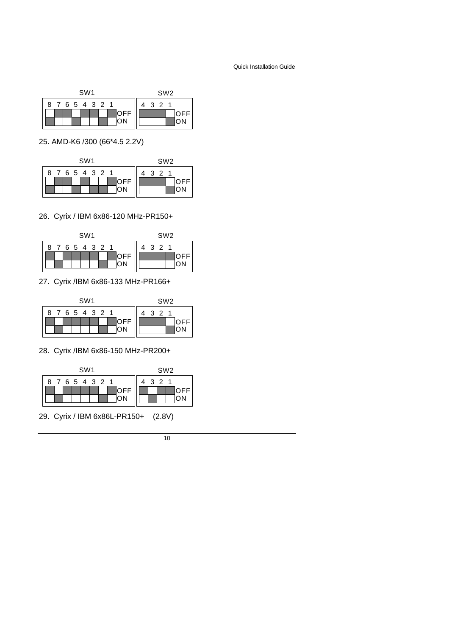

25. AMD-K6 /300 (66\*4.5 2.2V)



26. Cyrix / IBM 6x86-120 MHz-PR150+



27. Cyrix /IBM 6x86-133 MHz-PR166+



28. Cyrix /IBM 6x86-150 MHz-PR200+



29. Cyrix / IBM 6x86L-PR150+ (2.8V)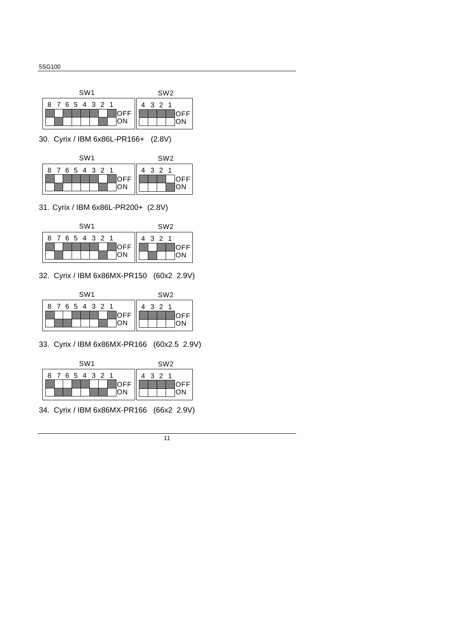

30. Cyrix / IBM 6x86L-PR166+ (2.8V)



31. Cyrix / IBM 6x86L-PR200+ (2.8V)



32. Cyrix / IBM 6x86MX-PR150 (60x2 2.9V)

|  |  | SW <sub>1</sub> |                 |           |     | SW <sub>2</sub> |     |
|--|--|-----------------|-----------------|-----------|-----|-----------------|-----|
|  |  |                 | 8 7 6 5 4 3 2 1 |           | 321 |                 |     |
|  |  |                 |                 | OFF<br>ON |     |                 | OFF |
|  |  |                 |                 |           |     |                 | ΩN  |

33. Cyrix / IBM 6x86MX-PR166 (60x2.5 2.9V)



34. Cyrix / IBM 6x86MX-PR166 (66x2 2.9V)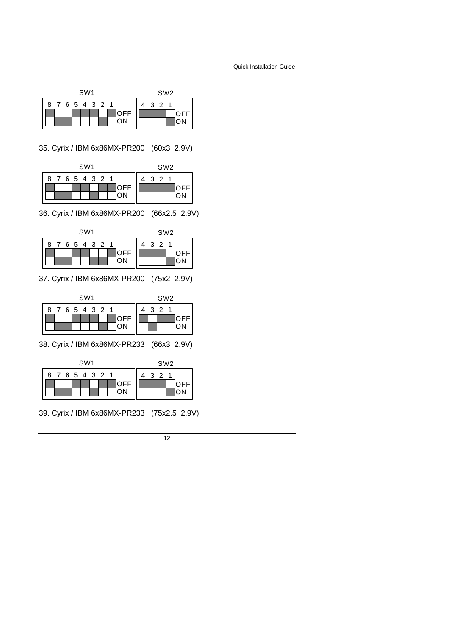|  |  | SW <sub>1</sub> |  |             |  | SW <sub>2</sub> |             |
|--|--|-----------------|--|-------------|--|-----------------|-------------|
|  |  | 8 7 6 5 4 3 2 1 |  |             |  | 3 2 1           |             |
|  |  |                 |  | <b>AOFF</b> |  |                 | <b>IOFF</b> |
|  |  |                 |  |             |  |                 | ON          |
|  |  |                 |  |             |  |                 |             |

35. Cyrix / IBM 6x86MX-PR200 (60x3 2.9V)

|  |  | SW <sub>1</sub> |                 |             |     | SW <sub>2</sub> |     |
|--|--|-----------------|-----------------|-------------|-----|-----------------|-----|
|  |  |                 | 8 7 6 5 4 3 2 1 |             | 321 |                 |     |
|  |  |                 |                 | 1OFF<br>10N |     |                 | OFF |
|  |  |                 |                 |             |     |                 |     |

36. Cyrix / IBM 6x86MX-PR200 (66x2.5 2.9V)



37. Cyrix / IBM 6x86MX-PR200 (75x2 2.9V)

|  |  | SW <sub>1</sub> |                 |             |  |     | SW <sub>2</sub> |  |
|--|--|-----------------|-----------------|-------------|--|-----|-----------------|--|
|  |  |                 | 8 7 6 5 4 3 2 1 |             |  | 321 |                 |  |
|  |  |                 |                 | 1OFF<br>1ON |  |     |                 |  |
|  |  |                 |                 |             |  |     |                 |  |

38. Cyrix / IBM 6x86MX-PR233 (66x3 2.9V)

| SW <sub>1</sub>       | SW <sub>2</sub> |
|-----------------------|-----------------|
| 87654321<br>OFF<br>ON | 321             |

39. Cyrix / IBM 6x86MX-PR233 (75x2.5 2.9V)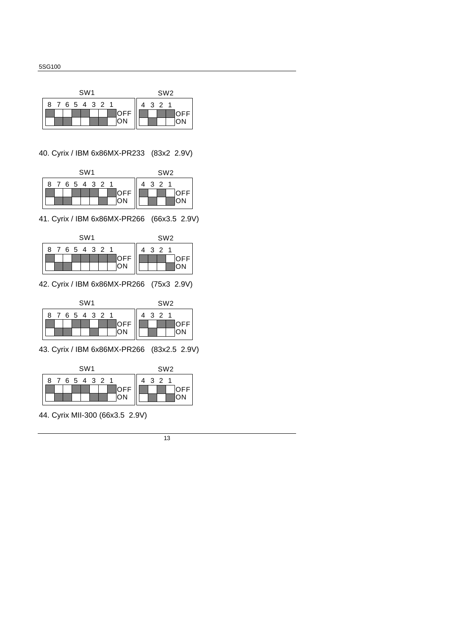|                 |  | SW <sub>1</sub> |  |                   |  | SW <sub>2</sub> |     |
|-----------------|--|-----------------|--|-------------------|--|-----------------|-----|
| 8 7 6 5 4 3 2 1 |  |                 |  |                   |  | 3 2 1           |     |
|                 |  |                 |  | OFF <sub>ON</sub> |  |                 | NFF |
|                 |  |                 |  |                   |  |                 |     |
|                 |  |                 |  |                   |  |                 |     |

40. Cyrix / IBM 6x86MX-PR233 (83x2 2.9V)



41. Cyrix / IBM 6x86MX-PR266 (66x3.5 2.9V)



42. Cyrix / IBM 6x86MX-PR266 (75x3 2.9V)



43. Cyrix / IBM 6x86MX-PR266 (83x2.5 2.9V)



44. Cyrix MII-300 (66x3.5 2.9V)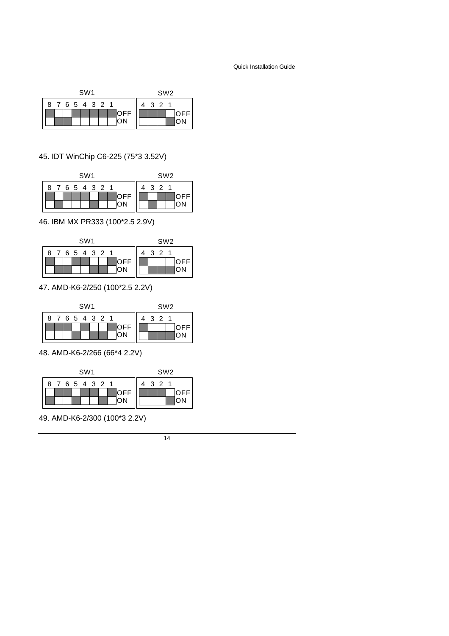| 8 7 6 5 4 3 2 1<br>321 |  |  |
|------------------------|--|--|
| <b>AOFF</b>            |  |  |
|                        |  |  |

### 45. IDT WinChip C6-225 (75\*3 3.52V)

|  |  | SW <sub>1</sub> |                 |                   |  |     | SW <sub>2</sub> |      |
|--|--|-----------------|-----------------|-------------------|--|-----|-----------------|------|
|  |  |                 | 8 7 6 5 4 3 2 1 |                   |  | 321 |                 |      |
|  |  |                 |                 | <b>AOFF</b><br>ON |  |     |                 | 'OFF |
|  |  |                 |                 |                   |  |     |                 | ΩN   |

46. IBM MX PR333 (100\*2.5 2.9V)



47. AMD-K6-2/250 (100\*2.5 2.2V)



48. AMD-K6-2/266 (66\*4 2.2V)



49. AMD-K6-2/300 (100\*3 2.2V)

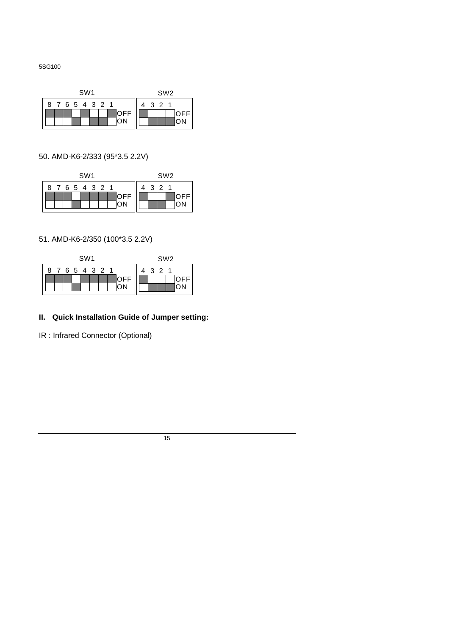

50. AMD-K6-2/333 (95\*3.5 2.2V)

| SW <sub>1</sub> |  |  |  |  |  |                 |  |             | SW <sub>2</sub> |  |     |
|-----------------|--|--|--|--|--|-----------------|--|-------------|-----------------|--|-----|
|                 |  |  |  |  |  | 8 7 6 5 4 3 2 1 |  |             | 321             |  |     |
|                 |  |  |  |  |  |                 |  | IOFF<br>ION |                 |  | OFF |
|                 |  |  |  |  |  |                 |  |             |                 |  |     |
|                 |  |  |  |  |  |                 |  |             |                 |  |     |

51. AMD-K6-2/350 (100\*3.5 2.2V)

| SW <sub>1</sub> |                 |  |  |  |  |  |  |            |  | SW <sub>2</sub> |  |  |
|-----------------|-----------------|--|--|--|--|--|--|------------|--|-----------------|--|--|
|                 | 8 7 6 5 4 3 2 1 |  |  |  |  |  |  |            |  | 3 2 1           |  |  |
|                 |                 |  |  |  |  |  |  | 4OFF<br>ON |  |                 |  |  |
|                 |                 |  |  |  |  |  |  |            |  |                 |  |  |

## **II. Quick Installation Guide of Jumper setting:**

IR : Infrared Connector (Optional)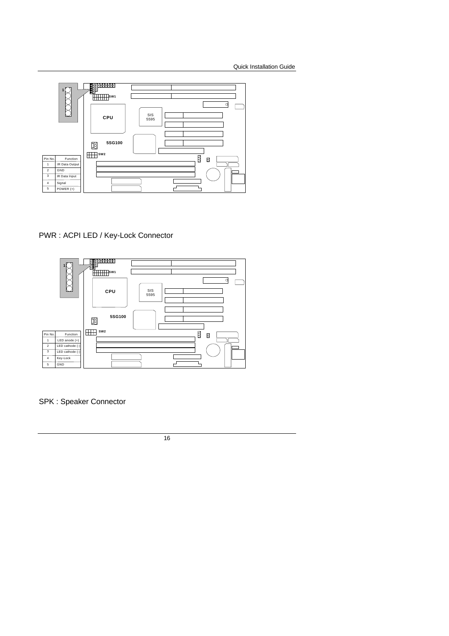Quick Installation Guide



PWR : ACPI LED / Key-Lock Connector



SPK : Speaker Connector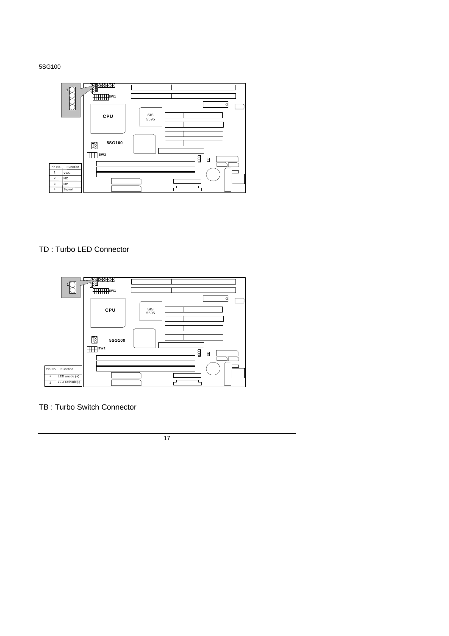

### TD : Turbo LED Connector



TB : Turbo Switch Connector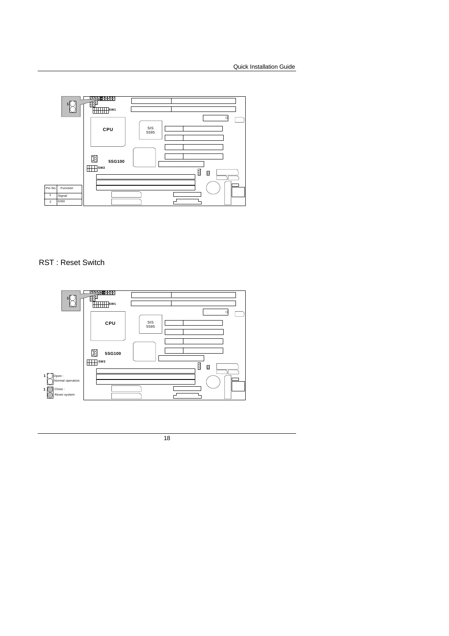Quick Installation Guide

![](_page_19_Figure_1.jpeg)

### RST : Reset Switch

![](_page_19_Figure_3.jpeg)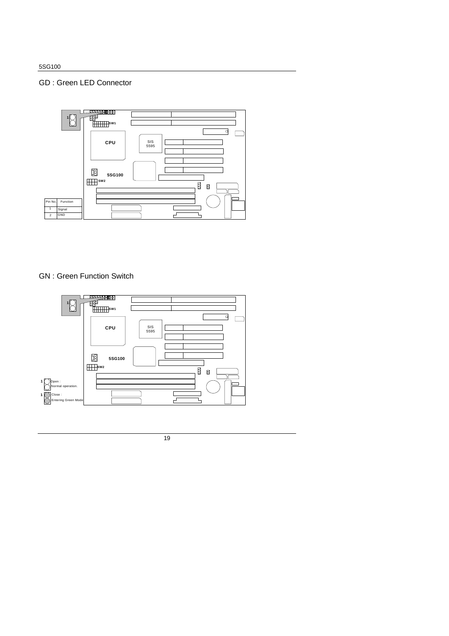### GD : Green LED Connector

![](_page_20_Figure_2.jpeg)

### GN : Green Function Switch

![](_page_20_Figure_4.jpeg)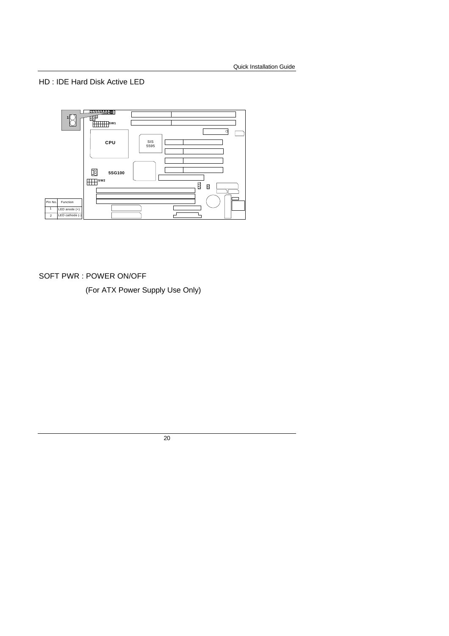Quick Installation Guide

### HD : IDE Hard Disk Active LED

![](_page_21_Figure_2.jpeg)

SOFT PWR : POWER ON/OFF

(For ATX Power Supply Use Only)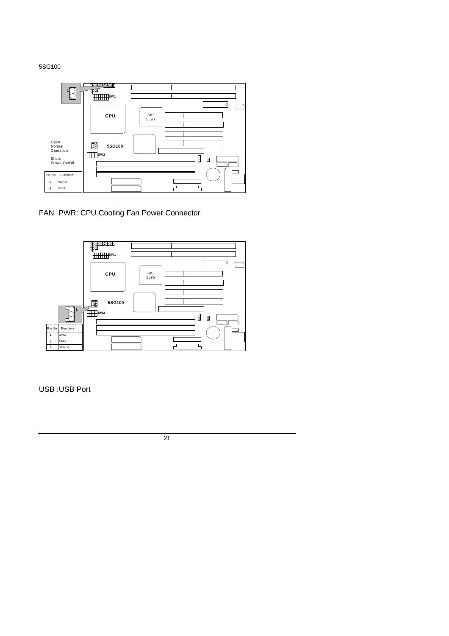![](_page_22_Figure_1.jpeg)

FAN PWR: CPU Cooling Fan Power Connector

![](_page_22_Figure_3.jpeg)

USB :USB Port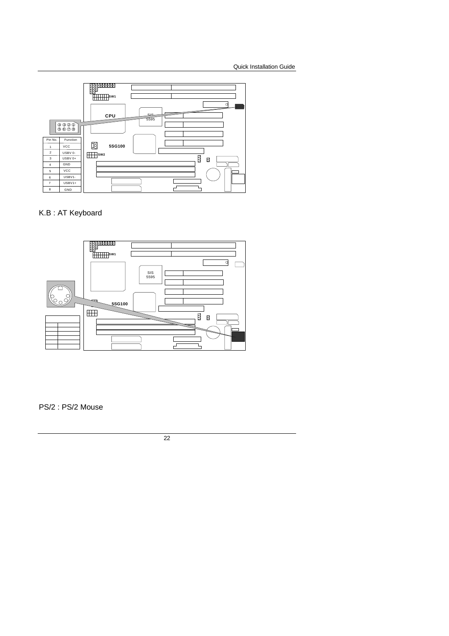Quick Installation Guide

![](_page_23_Figure_1.jpeg)

# K.B : AT Keyboard

![](_page_23_Figure_3.jpeg)

PS/2 : PS/2 Mouse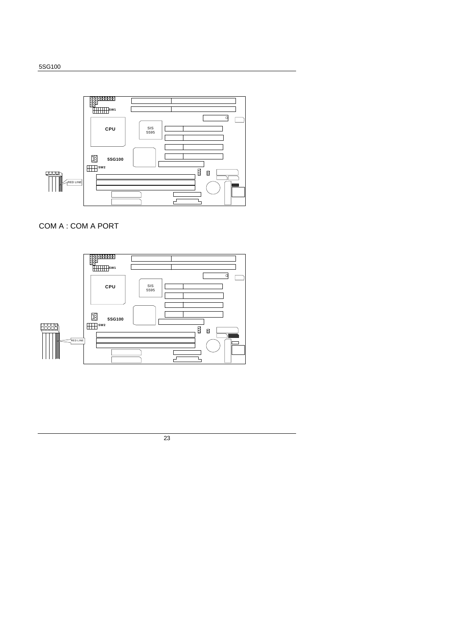![](_page_24_Figure_1.jpeg)

COM A : COM A PORT

![](_page_24_Figure_3.jpeg)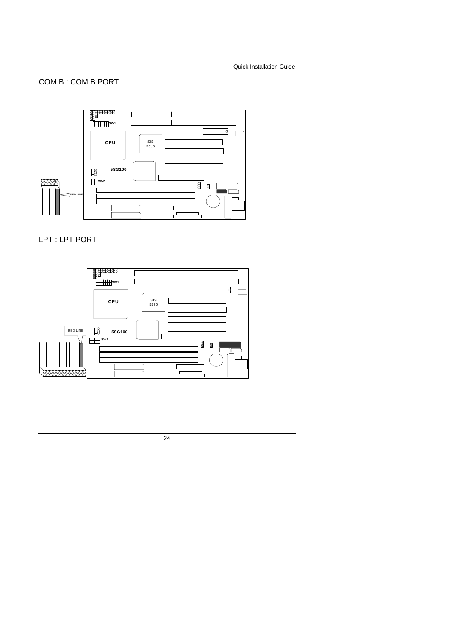Quick Installation Guide

## COM B : COM B PORT

![](_page_25_Figure_2.jpeg)

LPT : LPT PORT

![](_page_25_Figure_4.jpeg)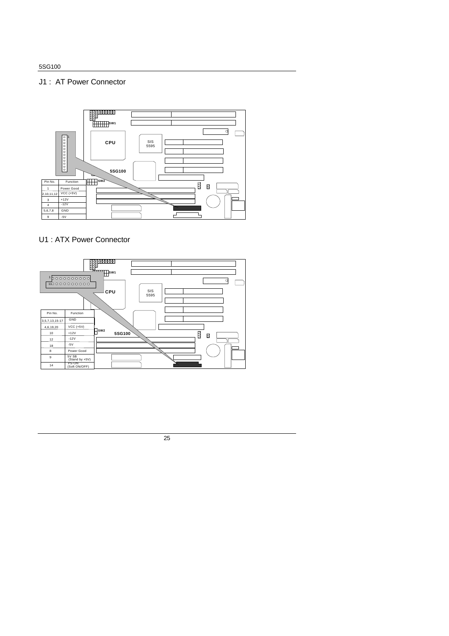### J1 : AT Power Connector

![](_page_26_Figure_2.jpeg)

### U1 : ATX Power Connector

![](_page_26_Figure_4.jpeg)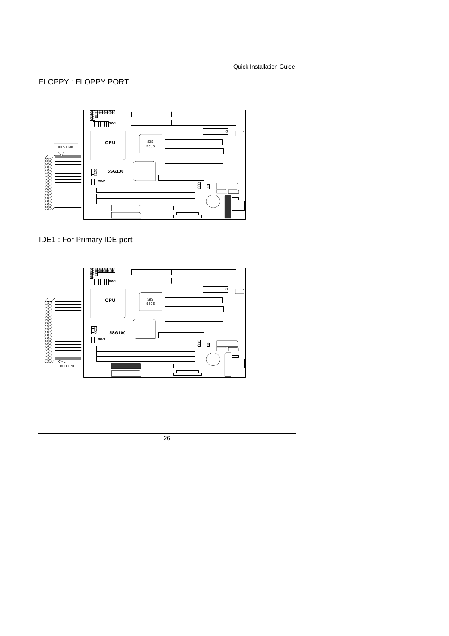## FLOPPY : FLOPPY PORT

![](_page_27_Figure_2.jpeg)

IDE1 : For Primary IDE port

![](_page_27_Picture_4.jpeg)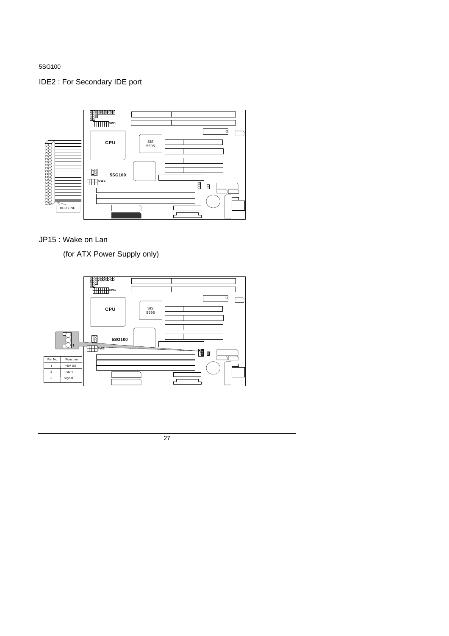# IDE2 : For Secondary IDE port

![](_page_28_Figure_2.jpeg)

## JP15 : Wake on Lan

(for ATX Power Supply only)

![](_page_28_Figure_5.jpeg)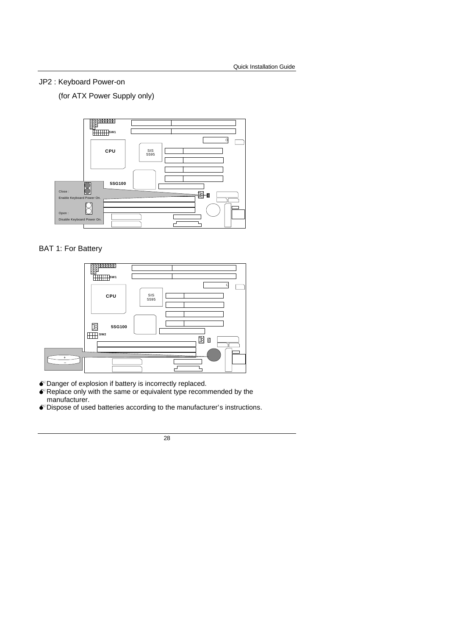### JP2 : Keyboard Power-on

(for ATX Power Supply only)

![](_page_29_Figure_3.jpeg)

### BAT 1: For Battery

![](_page_29_Figure_5.jpeg)

- $\bullet$  Danger of explosion if battery is incorrectly replaced.
- $\bullet$  Replace only with the same or equivalent type recommended by the manufacturer.
- $\bullet$  Dispose of used batteries according to the manufacturer's instructions.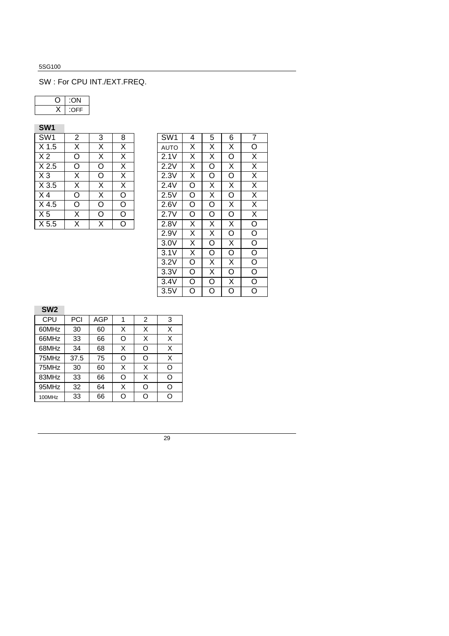### SW : For CPU INT./EXT.FREQ.

| F |
|---|

**SW1**

| SW <sub>1</sub>  | 2 | 3 | 8             |
|------------------|---|---|---------------|
| X <sub>1.5</sub> | X | х | X             |
| $\overline{X}$   | O | х | X             |
| X <sub>2.5</sub> | O | O | X             |
| $\overline{X3}$  | X | Ω | X             |
| X <sub>3.5</sub> | х | х | X             |
| X <sub>4</sub>   | O | х | O             |
| $X$ 4.5          | Ω | Ω | O             |
| X5               | х | Ο | Ω             |
| X <sub>5.5</sub> | x | x | $\mathcal{L}$ |

| $\overline{\text{SW1}}$ | 2                       | 3 | 8              | SW <sub>1</sub> | 4 | 5 | 6 | 7                       |
|-------------------------|-------------------------|---|----------------|-----------------|---|---|---|-------------------------|
| $\overline{X}$ 1.5      | X                       | X | X              | <b>AUTO</b>     | Х | X | X | O                       |
| $\overline{\text{X }2}$ | O                       | Χ | X              | 2.1V            | Х | х | O | X                       |
| $\overline{X}$ 2.5      | O                       | O | X              | 2.2V            | Х | O | X | X                       |
| $\overline{\text{X}3}$  | X                       | O | X              | 2.3V            | Х | O | O | X                       |
| $\times 3.5$            | $\overline{\mathsf{X}}$ | X | $\overline{X}$ | 2.4V            | O | X | X | $\overline{\mathsf{x}}$ |
| $\overline{X4}$         | O                       | Χ | O              | 2.5V            | O | Х | O | $\overline{\mathsf{X}}$ |
| $X$ 4.5                 | O                       | O | O              | 2.6V            | O | O | X | X                       |
| $\times 5$              | X                       | O | O              | 2.7V            | O | O | Ω | X                       |
| $\times 5.5$            | Χ                       | Χ | O              | 2.8V            | Χ | х | х | $\overline{O}$          |
|                         |                         |   |                | 2.9V            | Х | х | O | O                       |
|                         |                         |   |                | 3.0V            | Х | O | X | O                       |
|                         |                         |   |                | 3.1V            | X | O | O | $\overline{O}$          |
|                         |                         |   |                | 3.2V            | O | Х | X | O                       |
|                         |                         |   |                | 3.3V            | O | Χ | O | O                       |
|                         |                         |   |                | 3.4V            | O | O | X | O                       |
|                         |                         |   |                | 3.5V            | O | O | O | $\overline{O}$          |
|                         |                         |   |                |                 |   |   |   |                         |

**SW2**

| <b>CPU</b> | PCI  | <b>AGP</b> |   | 2 | 3 |
|------------|------|------------|---|---|---|
| 60MHz      | 30   | 60         | X | X | x |
| 66MHz      | 33   | 66         | റ | X | x |
| 68MHz      | 34   | 68         | x | Ω | x |
| 75MHz      | 37.5 | 75         | O | Ω | X |
| 75MHz      | 30   | 60         | X | X | Ω |
| 83MHz      | 33   | 66         | Ω | X | Ω |
| 95MHz      | 32   | 64         | x | Ω | Ω |
| 100MHz     | 33   | 66         | ∩ | റ | ∩ |